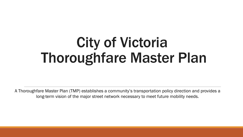## City of Victoria Thoroughfare Master Plan

A Thoroughfare Master Plan (TMP) establishes a community's transportation policy direction and provides a long-term vision of the major street network necessary to meet future mobility needs.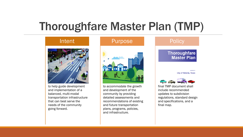### Thoroughfare Master Plan (TMP)



to help guide development and implementation of a balanced, multi-modal transportation infrastructure that can best serve the needs of the community going forward.

# Purpose

to accommodate the growth and development of the community by providing detailed assessments and recommendations of existing and future transportation plans, programs, policies, and infrastructure.

#### **Policy Thoroughfare Master Plan City of Victoria, Texas CALCULATION COMPANY**

final TMP document shall include recommended updates to subdivision regulations, standard design and specifications, and a final map.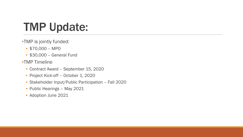## TMP Update:

- •TMP is jointly funded:
	- \$70,000 MPO
	- \$30,000 General Fund
- •TMP Timeline
	- Contract Award September 15, 2020
	- Project Kick-off October 1, 2020
	- Stakeholder Input/Public Participation Fall 2020
	- Public Hearings May 2021
	- Adoption June 2021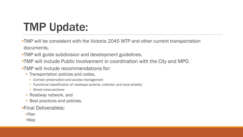## TMP Update:

- •TMP will be consistent with the Victoria 2045 MTP and other current transportation documents.
- •TMP will guide subdivision and development guidelines.
- •TMP will include Public Involvement in coordination with the City and MPO.
- •TMP will include recommendations for:
	- Transportation policies and codes,
		- Corridor preservation and access management
		- Functional classification of roadways (arterial, collector, and local streets)
		- Street cross-sections
	- Roadway network, and
	- Best practices and policies.
- •Final Deliverables:
	- •Plan
	- •Map